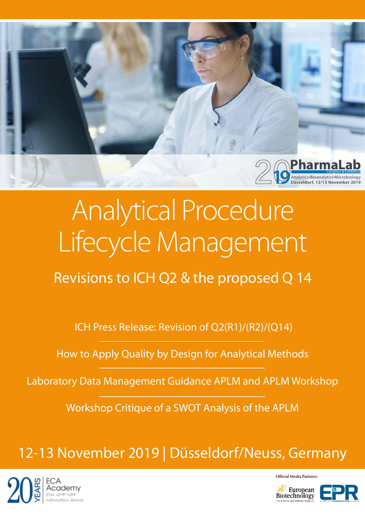

# Analytical Procedure Lifecycle Management

Revisions to ICH Q2 & the proposed Q 14

ICH Press Release: Revision of Q2(R1)/(R2)/(Q14)

How to Apply Quality by Design for Analytical Methods

Laboratory Data Management Guidance APLM and APLM Workshop

Workshop Critique of a SWOT Analysis of the APLM

# 12-13 November 2019 | Düsseldorf/Neuss, Germany



Official Media Partners: European

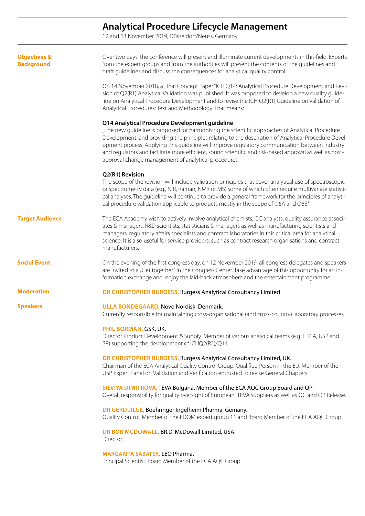### **Analytical Procedure Lifecycle Management**

12 and 13 November 2019, Düsseldorf/Neuss, Germany

| <b>Objectives &amp;</b><br><b>Background</b> | Over two days, the conference will present and illuminate current developments in this field. Experts<br>from the expert groups and from the authorities will present the contents of the guidelines and<br>draft guidelines and discuss the consequences for analytical quality control.                                                                                                                                                                                                                                       |
|----------------------------------------------|---------------------------------------------------------------------------------------------------------------------------------------------------------------------------------------------------------------------------------------------------------------------------------------------------------------------------------------------------------------------------------------------------------------------------------------------------------------------------------------------------------------------------------|
|                                              | On 14 November 2018, a Final Concept Paper "ICH Q14: Analytical Procedure Development and Revi-<br>sion of Q2(R1) Analytical Validation was published. It was proposed to develop a new quality guide-<br>line on Analytical Procedure Development and to revise the ICH Q2(R1) Guideline on Validation of<br>Analytical Procedures: Text and Methodology. That means:                                                                                                                                                          |
|                                              | Q14 Analytical Procedure Development guideline<br>"The new quideline is proposed for harmonising the scientific approaches of Analytical Procedure<br>Development, and providing the principles relating to the description of Analytical Procedure Devel-<br>opment process. Applying this guideline will improve regulatory communication between industry<br>and regulators and facilitate more efficient, sound scientific and risk-based approval as well as post-<br>approval change management of analytical procedures. |
|                                              | Q2(R1) Revision<br>The scope of the revision will include validation principles that cover analytical use of spectroscopic<br>or spectrometry data (e.g., NIR, Raman, NMR or MS) some of which often require multivariate statisti-<br>cal analyses. The guideline will continue to provide a general framework for the principles of analyti-<br>cal procedure validation applicable to products mostly in the scope of Q6A and Q6B."                                                                                          |
| <b>Target Audience</b>                       | The ECA Academy wish to actively involve analytical chemists, QC analysts, quality assurance associ-<br>ates & managers, R&D scientists, statisticians & managers as well as manufacturing scientists and<br>managers, regulatory affairs specialists and contract laboratories in this critical area for analytical<br>science. It is also useful for service providers, such as contract research organisations and contract<br>manufacturers.                                                                                |
| <b>Social Event</b>                          | On the evening of the first congress day, on 12 November 2019, all congress delegates and speakers<br>are invited to a "Get together" in the Congress Center. Take advantage of this opportunity for an in-<br>formation exchange and enjoy the laid-back atmosphere and the entertainment programme.                                                                                                                                                                                                                           |
| <b>Moderation</b>                            | DR CHRISTOPHER BURGESS, Burgess Analytical Consultancy Limited                                                                                                                                                                                                                                                                                                                                                                                                                                                                  |
| <b>Speakers</b>                              | <b>ULLA BONDEGAARD, Novo Nordisk, Denmark.</b><br>Currently responsible for maintaining cross-organisational (and cross-country) laboratory processes.                                                                                                                                                                                                                                                                                                                                                                          |
|                                              | PHIL BORMAN, GSK, UK.<br>Director Product Development & Supply. Member of various analytical teams (e.g. EFPIA, USP and<br>BP) supporting the development of ICHQ2(R2)/Q14.                                                                                                                                                                                                                                                                                                                                                     |
|                                              | DR CHRISTOPHER BURGESS, Burgess Analytical Consultancy Limited, UK.<br>Chairman of the ECA Analytical Quality Control Group. Qualified Person in the EU. Member of the<br>USP Expert Panel on Validation and Verification entrusted to revise General Chapters.                                                                                                                                                                                                                                                                 |
|                                              | SILVIYA DIMITROVA, TEVA Bulgaria. Member of the ECA AQC Group Board and QP.<br>Overall responsibility for quality oversight of European TEVA suppliers as well as QC and QP Release.                                                                                                                                                                                                                                                                                                                                            |
|                                              | DR GERD JILGE, Boehringer Ingelheim Pharma, Gemany.<br>Quality Control. Member of the EDQM expert group 11 and Board Member of the ECA AQC Group.                                                                                                                                                                                                                                                                                                                                                                               |
|                                              | DR BOB MCDOWALL, BR.D. McDowall Limited, USA.<br>Director.                                                                                                                                                                                                                                                                                                                                                                                                                                                                      |
|                                              | <b>MARGARITA SABATER, LEO Pharma.</b><br>Principal Scientist. Board Member of the ECA AQC Group.                                                                                                                                                                                                                                                                                                                                                                                                                                |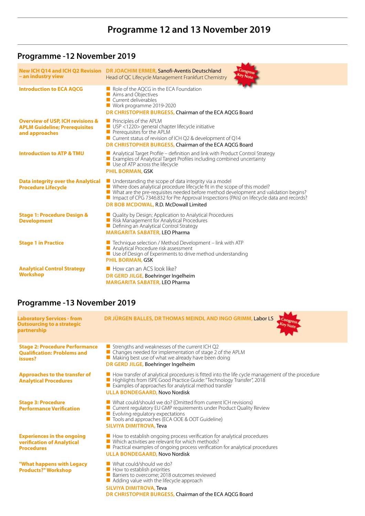# **Programme 12 and 13 November 2019**

## **Programme -12 November 2019**

| - an industry view                                                                                    | Congress<br>New ICH Q14 and ICH Q2 Revision DR JOACHIM ERMER, Sanofi-Aventis Deutschland<br><b>Key Note</b><br>Head of QC Lifecycle Management Frankfurt Chemistry                                                                                                                                                                                                                 |
|-------------------------------------------------------------------------------------------------------|------------------------------------------------------------------------------------------------------------------------------------------------------------------------------------------------------------------------------------------------------------------------------------------------------------------------------------------------------------------------------------|
| <b>Introduction to ECA AQCG</b>                                                                       | Role of the AQCG in the ECA Foundation<br>Aims and Objectives<br>Current deliverables<br>Work programme 2019-2020<br>DR CHRISTOPHER BURGESS, Chairman of the ECA AOCG Board                                                                                                                                                                                                        |
| <b>Overview of USP, ICH revisions &amp;</b><br><b>APLM Guideline; Prerequisites</b><br>and approaches | $\blacksquare$ Principles of the APLM<br>USP <1220> general chapter lifecycle initiative<br>$\blacksquare$ Prerequisites for the APLM<br>$\blacksquare$ Current status of revision of ICH Q2 & development of Q14<br>DR CHRISTOPHER BURGESS, Chairman of the ECA AQCG Board                                                                                                        |
| <b>Introduction to ATP &amp; TMU</b>                                                                  | $\blacksquare$ Analytical Target Profile – definition and link with Product Control Strategy<br>Examples of Analytical Target Profiles including combined uncertainty<br>$\blacksquare$ Use of ATP across the lifecycle<br><b>PHIL BORMAN, GSK</b>                                                                                                                                 |
| Data integrity over the Analytical<br><b>Procedure Lifecycle</b>                                      | $\blacksquare$ Understanding the scope of data integrity via a model<br>■ Where does analytical procedure lifecycle fit in the scope of this model?<br>■ What are the pre-requisites needed before method development and validation begins?<br>Impact of CPG 7346.832 for Pre Approval Inspections (PAIs) on lifecycle data and records?<br>DR BOB MCDOWAL, R.D. McDowall Limited |
| <b>Stage 1: Procedure Design &amp;</b><br><b>Development</b>                                          | $\blacksquare$ Quality by Design; Application to Analytical Procedures<br>Risk Management for Analytical Procedures<br>Defining an Analytical Control Strategy<br><b>MARGARITA SABATER, LEO Pharma</b>                                                                                                                                                                             |
| <b>Stage 1 in Practice</b>                                                                            | F Technique selection / Method Development - link with ATP<br>Analytical Procedure risk assessment<br>Use of Design of Experiments to drive method understanding<br><b>PHIL BORMAN, GSK</b>                                                                                                                                                                                        |
| <b>Analytical Control Strategy</b><br><b>Workshop</b>                                                 | How can an ACS look like?<br>DR GERD JILGE, Boehringer Ingelheim<br><b>MARGARITA SABATER, LEO Pharma</b>                                                                                                                                                                                                                                                                           |

MA<sub>1</sub>

# **Programme -13 November 2019**

| <b>Laboratory Services - from</b><br><b>Outsourcing to a strategic</b><br>partnership  | DR JÜRGEN BALLES, DR THOMAS MEINDL AND INGO GRIMM, Labor LS<br>Congress                                                                                                                                                                                                                          |
|----------------------------------------------------------------------------------------|--------------------------------------------------------------------------------------------------------------------------------------------------------------------------------------------------------------------------------------------------------------------------------------------------|
| <b>Stage 2: Procedure Performance</b><br><b>Oualification: Problems and</b><br>issues? | $\blacksquare$ Strengths and weaknesses of the current ICH Q2<br>■ Changes needed for implementation of stage 2 of the APLM<br>Making best use of what we already have been doing<br>DR GERD JILGE, Boehringer Ingelheim                                                                         |
| <b>Approaches to the transfer of</b><br><b>Analytical Procedures</b>                   | How transfer of analytical procedures is fitted into the life cycle management of the procedure<br>■ Highlights from ISPE Good Practice Guide: "Technology Transfer", 2018<br>Examples of approaches for analytical method transfer<br><b>ULLA BONDEGAARD, Novo Nordisk</b>                      |
| <b>Stage 3: Procedure</b><br><b>Performance Verification</b>                           | ■ What could/should we do? (Omitted from current ICH revisions)<br>■ Current regulatory EU GMP requirements under Product Quality Review<br>Evolving regulatory expectations<br>■ Tools and approaches (ECA OOE & OOT Guideline)<br><b>SILVIYA DIMITROVA, Teva</b>                               |
| <b>Experiences in the ongoing</b><br>verification of Analytical<br><b>Procedures</b>   | $\blacksquare$ How to establish ongoing process verification for analytical procedures<br>$\blacksquare$ Which activities are relevant for which methods?<br>$\blacksquare$ Practical examples of ongoing process verification for analytical procedures<br><b>ULLA BONDEGAARD, Novo Nordisk</b> |
| "What happens with Legacy<br><b>Products?" Workshop</b>                                | $\blacksquare$ What could/should we do?<br>$\blacksquare$ How to establish priorities<br>Barriers to overcome; 2018 outcomes reviewed<br>$\blacksquare$ Adding value with the lifecycle approach<br><b>SILVIYA DIMITROVA, Teva</b><br>DR CHRISTOPHER BURGESS, Chairman of the ECA AOCG Board     |